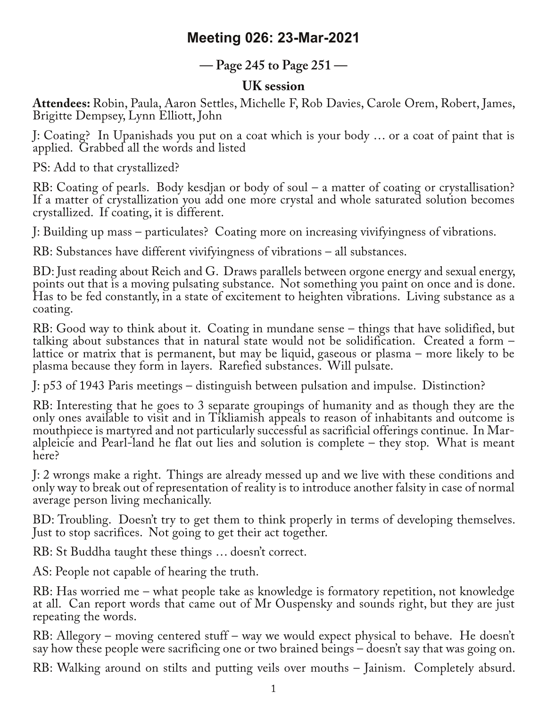## **Meeting 026: 23-Mar-2021**

## **— Page 245 to Page 251 —**

## **UK session**

**Attendees:** Robin, Paula, Aaron Settles, Michelle F, Rob Davies, Carole Orem, Robert, James, Brigitte Dempsey, Lynn Elliott, John

J: Coating? In Upanishads you put on a coat which is your body … or a coat of paint that is applied. Grabbed all the words and listed

PS: Add to that crystallized?

RB: Coating of pearls. Body kesdjan or body of soul – a matter of coating or crystallisation? If a matter of crystallization you add one more crystal and whole saturated solution becomes crystallized. If coating, it is different.

J: Building up mass – particulates? Coating more on increasing vivifyingness of vibrations.

RB: Substances have different vivifyingness of vibrations – all substances.

BD: Just reading about Reich and G. Draws parallels between orgone energy and sexual energy, points out that is a moving pulsating substance. Not something you paint on once and is done. Has to be fed constantly, in a state of excitement to heighten vibrations. Living substance as a coating.

RB: Good way to think about it. Coating in mundane sense – things that have solidified, but talking about substances that in natural state would not be solidification. Created a form – lattice or matrix that is permanent, but may be liquid, gaseous or plasma – more likely to be plasma because they form in layers. Rarefied substances. Will pulsate.

J: p53 of 1943 Paris meetings – distinguish between pulsation and impulse. Distinction?

RB: Interesting that he goes to 3 separate groupings of humanity and as though they are the only ones available to visit and in Tikliamish appeals to reason of inhabitants and outcome is mouthpiece is martyred and not particularly successful as sacrificial offerings continue. In Maralpleicie and Pearl-land he flat out lies and solution is complete – they stop. What is meant here?

J: 2 wrongs make a right. Things are already messed up and we live with these conditions and only way to break out of representation of reality is to introduce another falsity in case of normal average person living mechanically.

BD: Troubling. Doesn't try to get them to think properly in terms of developing themselves. Just to stop sacrifices. Not going to get their act together.

RB: St Buddha taught these things … doesn't correct.

AS: People not capable of hearing the truth.

RB: Has worried me – what people take as knowledge is formatory repetition, not knowledge at all. Can report words that came out of Mr Ouspensky and sounds right, but they are just repeating the words.

RB: Allegory – moving centered stuff – way we would expect physical to behave. He doesn't say how these people were sacrificing one or two brained beings – doesn't say that was going on.

RB: Walking around on stilts and putting veils over mouths – Jainism. Completely absurd.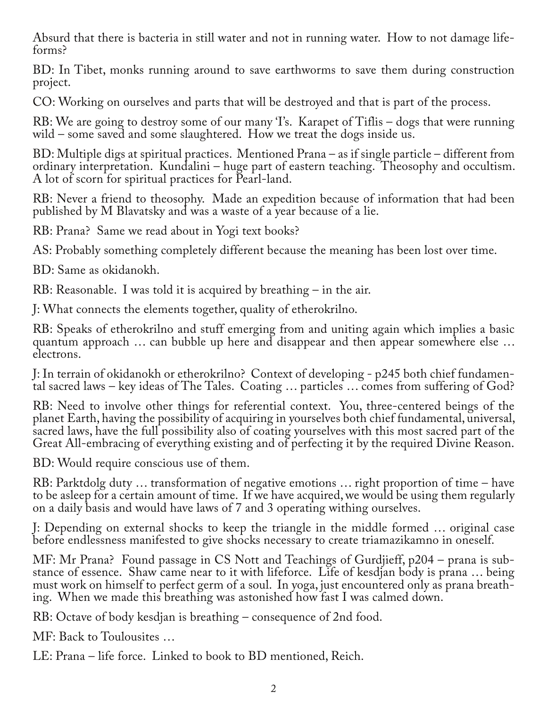Absurd that there is bacteria in still water and not in running water. How to not damage life‐ forms?

BD: In Tibet, monks running around to save earthworms to save them during construction project.

CO: Working on ourselves and parts that will be destroyed and that is part of the process.

RB: We are going to destroy some of our many T's. Karapet of Tiflis – dogs that were running wild – some saved and some slaughtered. How we treat the dogs inside us.

BD: Multiple digs at spiritual practices. Mentioned Prana – as if single particle – different from ordinary interpretation. Kundalini – huge part of eastern teaching. Theosophy and occultism. A lot of scorn for spiritual practices for Pearl-land.

RB: Never a friend to theosophy. Made an expedition because of information that had been published by M Blavatsky and was a waste of a year because of a lie.

RB: Prana? Same we read about in Yogi text books?

AS: Probably something completely different because the meaning has been lost over time.

BD: Same as okidanokh.

RB: Reasonable. I was told it is acquired by breathing – in the air.

J: What connects the elements together, quality of etherokrilno.

RB: Speaks of etherokrilno and stuff emerging from and uniting again which implies a basic quantum approach … can bubble up here and disappear and then appear somewhere else … electrons.

J: In terrain of okidanokh or etherokrilno? Context of developing - p245 both chief fundamen‐ tal sacred laws – key ideas of The Tales. Coating … particles … comes from suffering of God?

RB: Need to involve other things for referential context. You, three-centered beings of the planet Earth, having the possibility of acquiring in yourselves both chief fundamental, universal, sacred laws, have the full possibility also of coating yourselves with this most sacred part of the Great All-embracing of everything existing and of perfecting it by the required Divine Reason.

BD: Would require conscious use of them.

RB: Parktdolg duty … transformation of negative emotions … right proportion of time – have to be asleep for a certain amount of time. If we have acquired, we would be using them regularly on a daily basis and would have laws of 7 and 3 operating withing ourselves.

J: Depending on external shocks to keep the triangle in the middle formed … original case before endlessness manifested to give shocks necessary to create triamazikamno in oneself.

MF: Mr Prana? Found passage in CS Nott and Teachings of Gurdjieff, p204 – prana is substance of essence. Shaw came near to it with lifeforce. Life of kesdjan body is prana ... being<br>must work on himself to perfect germ of a soul. In yoga, just encountered only as prana breathing. When we made this breathing was astonished how fast I was calmed down.

RB: Octave of body kesdjan is breathing – consequence of 2nd food.

MF: Back to Toulousites …

LE: Prana – life force. Linked to book to BD mentioned, Reich.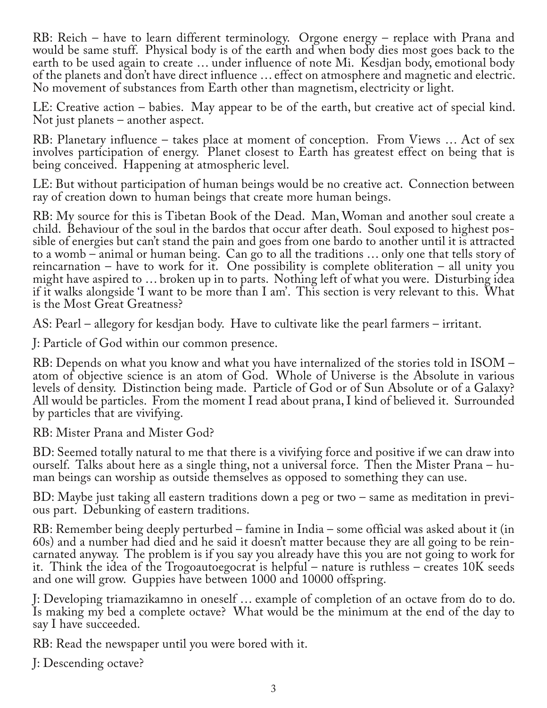RB: Reich – have to learn different terminology. Orgone energy – replace with Prana and would be same stuff. Physical body is of the earth and when body dies most goes back to the earth to be used again to create … under influence of note Mi. Kesdjan body, emotional body of the planets and don't have direct influence … effect on atmosphere and magnetic and electric. No movement of substances from Earth other than magnetism, electricity or light.

LE: Creative action – babies. May appear to be of the earth, but creative act of special kind. Not just planets – another aspect.

RB: Planetary influence – takes place at moment of conception. From Views … Act of sex involves participation of energy. Planet closest to Earth has greatest effect on being that is being conceived. Happening at atmospheric level.

LE: But without participation of human beings would be no creative act. Connection between ray of creation down to human beings that create more human beings.

RB: My source for this is Tibetan Book of the Dead. Man, Woman and another soul create a<br>child. Behaviour of the soul in the bardos that occur after death. Soul exposed to highest possible of energies but can't stand the pain and goes from one bardo to another until it is attracted to a womb – animal or human being. Can go to all the traditions … only one that tells story of reincarnation – have to work for it. One possibility is complete obliteration – all unity you might have aspired to … broken up in to parts. Nothing left of what you were. Disturbing idea if it walks alongside 'I want to be more than I am'. This section is very relevant to this. What is the Most Great Greatness?

AS: Pearl – allegory for kesdjan body. Have to cultivate like the pearl farmers – irritant.

J: Particle of God within our common presence.

RB: Depends on what you know and what you have internalized of the stories told in ISOM – atom of objective science is an atom of God. Whole of Universe is the Absolute in various levels of density. Distinction being made. Particle of God or of Sun Absolute or of a Galaxy? All would be particles. From the moment I read about prana, I kind of believed it. Surrounded by particles that are vivifying.

RB: Mister Prana and Mister God?

BD: Seemed totally natural to me that there is a vivifying force and positive if we can draw into ourself. Talks about here as a single thing, not a universal force. Then the Mister Prana – hu-<br>man beings can worship as outside themselves as opposed to something they can use.

BD: Maybe just taking all eastern traditions down a peg or two – same as meditation in previ-<br>ous part. Debunking of eastern traditions.

RB: Remember being deeply perturbed – famine in India – some official was asked about it (in 60s) and a number had died and he said it doesn't matter because they are all going to be rein‐ carnated anyway. The problem is if you say you already have this you are not going to work for it. Think the idea of the Trogoautoegocrat is helpful – nature is ruthless – creates 10K seeds and one will grow. Guppies have between 1000 and 10000 offspring.

J: Developing triamazikamno in oneself … example of completion of an octave from do to do. Is making my bed a complete octave? What would be the minimum at the end of the day to say I have succeeded.

RB: Read the newspaper until you were bored with it.

J: Descending octave?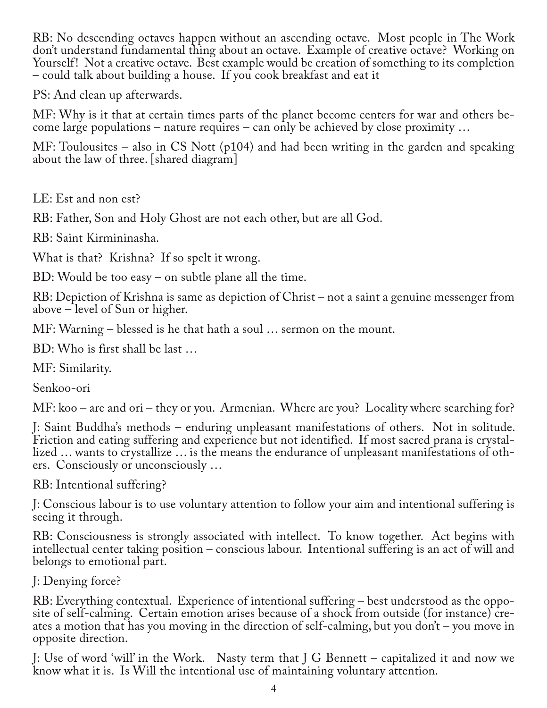RB: No descending octaves happen without an ascending octave. Most people in The Work don't understand fundamental thing about an octave. Example of creative octave? Working on Yourself! Not a creative octave. Best example would be creation of something to its completion – could talk about building a house. If you cook breakfast and eat it

PS: And clean up afterwards.

MF: Why is it that at certain times parts of the planet become centers for war and others be‐ come large populations – nature requires – can only be achieved by close proximity …

MF: Toulousites – also in CS Nott (p104) and had been writing in the garden and speaking about the law of three. [shared diagram]

LE: Est and non est?

RB: Father, Son and Holy Ghost are not each other, but are all God.

RB: Saint Kirmininasha.

What is that? Krishna? If so spelt it wrong.

BD: Would be too easy – on subtle plane all the time.

RB: Depiction of Krishna is same as depiction of Christ – not a saint a genuine messenger from above – level of Sun or higher.

MF: Warning – blessed is he that hath a soul … sermon on the mount.

BD: Who is first shall be last …

MF: Similarity.

Senkoo-ori

MF: koo – are and ori – they or you. Armenian. Where are you? Locality where searching for?

J: Saint Buddha's methods – enduring unpleasant manifestations of others. Not in solitude. Friction and eating suffering and experience but not identified. If most sacred prana is crystallized … wants to crystallize … is the means the endurance of unpleasant manifestations of others. Consciously or unconsciously …

RB: Intentional suffering?

J: Conscious labour is to use voluntary attention to follow your aim and intentional suffering is seeing it through.

RB: Consciousness is strongly associated with intellect. To know together. Act begins with intellectual center taking position – conscious labour. Intentional suffering is an act of will and belongs to emotional part.

J: Denying force?

RB: Everything contextual. Experience of intentional suffering – best understood as the opposite of self-calming. Certain emotion arises because of a shock from outside (for instance) creates a motion that has you moving in the direction of self-calming, but you don't – you move in opposite direction.

J: Use of word 'will' in the Work. Nasty term that J G Bennett – capitalized it and now we know what it is. Is Will the intentional use of maintaining voluntary attention.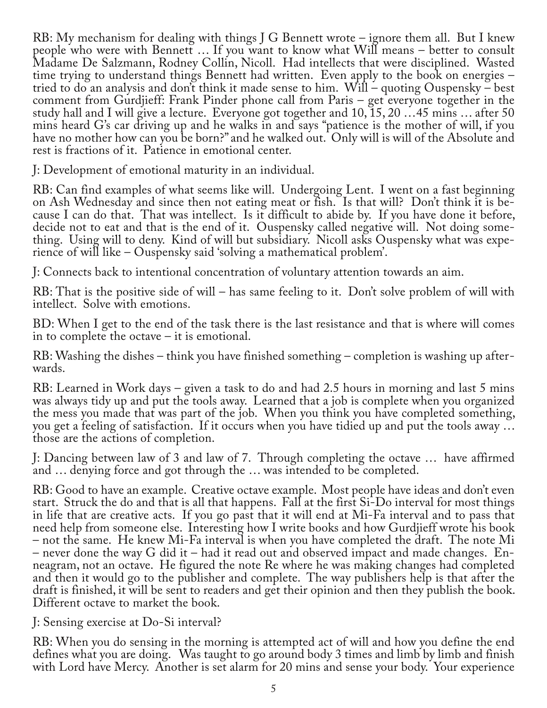RB: My mechanism for dealing with things J G Bennett wrote – ignore them all. But I knew people who were with Bennett … If you want to know what Will means – better to consult Madame De Salzmann, Rodney Collin, Nicoll. Had intellects that were disciplined. Wasted time trying to understand things Bennett had written. Even apply to the book on energies – tried to do an analysis and don't think it made sense to him. Will – quoting Ouspensky – best comment from Gurdjieff: Frank Pinder phone call from Paris – get everyone together in the study hall and I will give a lecture. Everyone got together and 10, 15, 20 …45 mins … after 50 mins heard G's car driving up and he walks in and says "patience is the mother of will, if you have no mother how can you be born?" and he walked out. Only will is will of the Absolute and rest is fractions of it. Patience in emotional center.

J: Development of emotional maturity in an individual.

RB: Can find examples of what seems like will. Undergoing Lent. I went on a fast beginning on Ash Wednesday and since then not eating meat or fish. Is that will? Don't think it is be‐ cause I can do that. That was intellect. Is it difficult to abide by. If you have done it before, decide not to eat and that is the end of it. Ouspensky called negative will. Not doing some‐ thing. Using will to deny. Kind of will but subsidiary. Nicoll asks Ouspensky what was expe‐ rience of will like – Ouspensky said 'solving a mathematical problem'.

J: Connects back to intentional concentration of voluntary attention towards an aim.

RB: That is the positive side of will – has same feeling to it. Don't solve problem of will with intellect. Solve with emotions.

BD: When I get to the end of the task there is the last resistance and that is where will comes in to complete the octave – it is emotional.

RB: Washing the dishes – think you have finished something – completion is washing up after‐ wards.

RB: Learned in Work days – given a task to do and had 2.5 hours in morning and last 5 mins was always tidy up and put the tools away. Learned that a job is complete when you organized the mess you made that was part of the job. When you think you have completed something, you get a feeling of satisfaction. If it occurs when you have tidied up and put the tools away … those are the actions of completion.

J: Dancing between law of 3 and law of 7. Through completing the octave … have affirmed and … denying force and got through the … was intended to be completed.

RB: Good to have an example. Creative octave example. Most people have ideas and don't even start. Struck the do and that is all that happens. Fall at the first Si-Do interval for most things in life that are creative acts. If you go past that it will end at Mi-Fa interval and to pass that need help from someone else. Interesting how I write books and how Gurdjieff wrote his book – not the same. He knew Mi-Fa interval is when you have completed the draft. The note Mi neagram, not an octave. He figured the note Re where he was making changes had completed and then it would go to the publisher and complete. The way publishers help is that after the draft is finished, it will be sent to readers and get their opinion and then they publish the book. Different octave to market the book.

J: Sensing exercise at Do-Si interval?

RB: When you do sensing in the morning is attempted act of will and how you define the end defines what you are doing. Was taught to go around body 3 times and limb by limb and finish with Lord have Mercy. Another is set alarm for 20 mins and sense your body. Your experience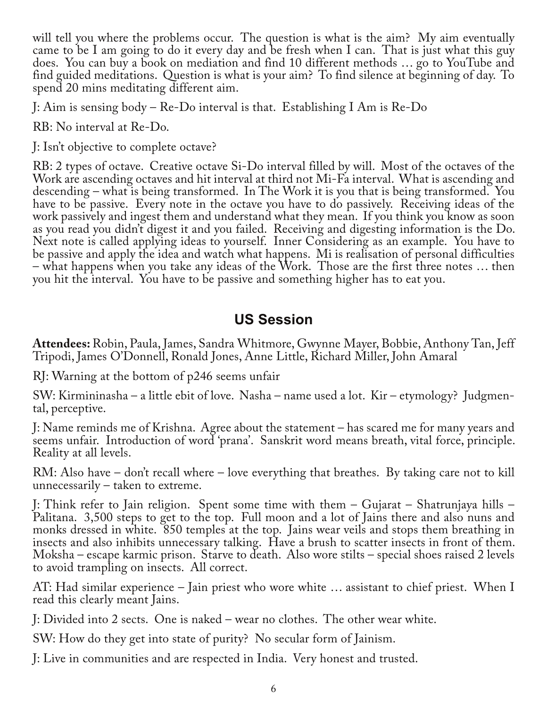will tell you where the problems occur. The question is what is the aim? My aim eventually came to be I am going to do it every day and be fresh when I can. That is just what this guy does. You can buy a book on mediation and find 10 different methods … go to YouTube and find guided meditations. Question is what is your aim? To find silence at beginning of day. To spend 20 mins meditating different aim.

J: Aim is sensing body – Re-Do interval is that. Establishing I Am is Re-Do

RB: No interval at Re-Do.

J: Isn't objective to complete octave?

RB: 2 types of octave. Creative octave Si-Do interval filled by will. Most of the octaves of the Work are ascending octaves and hit interval at third not Mi-Fa interval. What is ascending and descending – what is being transformed. In The Work it is you that is being transformed. You have to be passive. Every note in the octave you have to do passively. Receiving ideas of the work passively and ingest them and understand what they mean. If you think you know as soon as you read you didn't digest it and you failed. Receiving and digesting information is the Do. Next note is called applying ideas to yourself. Inner Considering as an example. You have to be passive and apply the idea and watch what happens. Mi is realisation of personal difficulties – what happens when you take any ideas of the Work. Those are the first three notes … then you hit the interval. You have to be passive and something higher has to eat you.

## **US Session**

**Attendees:**Robin, Paula, James, Sandra Whitmore, Gwynne Mayer, Bobbie, Anthony Tan, Jeff Tripodi, James O'Donnell, Ronald Jones, Anne Little, Richard Miller, John Amaral

RJ: Warning at the bottom of p246 seems unfair

SW: Kirmininasha – a little ebit of love. Nasha – name used a lot. Kir – etymology? Judgmen‐ tal, perceptive.

J: Name reminds me of Krishna. Agree about the statement – has scared me for many years and seems unfair. Introduction of word 'prana'. Sanskrit word means breath, vital force, principle. Reality at all levels.

RM: Also have – don't recall where – love everything that breathes. By taking care not to kill unnecessarily – taken to extreme.

J: Think refer to Jain religion. Spent some time with them – Gujarat – Shatrunjaya hills – Palitana. 3,500 steps to get to the top. Full moon and a lot of Jains there and also nuns and monks dressed in white. 850 temples at the top. Jains wear veils and stops them breathing in insects and also inhibits unnecessary talking. Have a brush to scatter insects in front of them. Moksha – escape karmic prison. Starve to death. Also wore stilts – special shoes raised 2 levels to avoid trampling on insects. All correct.

AT: Had similar experience – Jain priest who wore white … assistant to chief priest. When I read this clearly meant Jains.

J: Divided into 2 sects. One is naked – wear no clothes. The other wear white.

SW: How do they get into state of purity? No secular form of Jainism.

J: Live in communities and are respected in India. Very honest and trusted.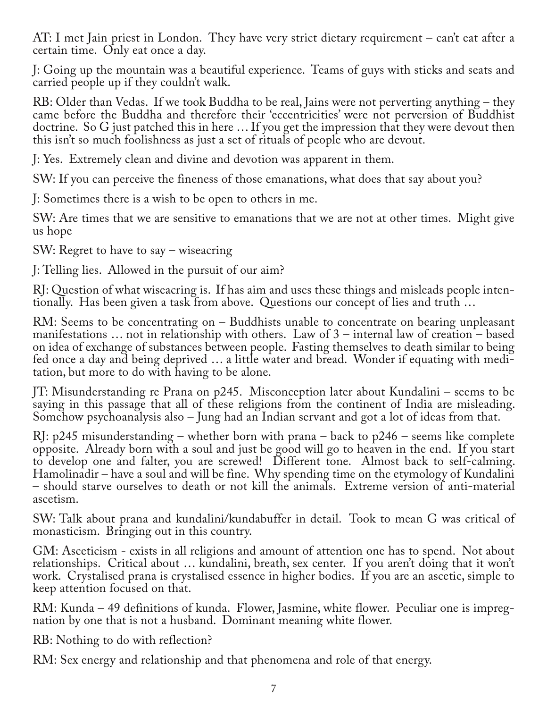AT: I met Jain priest in London. They have very strict dietary requirement – can't eat after a certain time. Only eat once a day.

J: Going up the mountain was a beautiful experience. Teams of guys with sticks and seats and carried people up if they couldn't walk.

RB: Older than Vedas. If we took Buddha to be real, Jains were not perverting anything – they came before the Buddha and therefore their 'eccentricities' were not perversion of Buddhist doctrine. So G just patched this in here … If you get the impression that they were devout then this isn't so much foolishness as just a set of rituals of people who are devout.

J: Yes. Extremely clean and divine and devotion was apparent in them.

SW: If you can perceive the fineness of those emanations, what does that say about you?

J: Sometimes there is a wish to be open to others in me.

SW: Are times that we are sensitive to emanations that we are not at other times. Might give us hope

SW: Regret to have to say – wiseacring

J: Telling lies. Allowed in the pursuit of our aim?

RJ: Question of what wiseacring is. If has aim and uses these things and misleads people inten‐ tionally. Has been given a task from above. Questions our concept of lies and truth …

RM: Seems to be concentrating on – Buddhists unable to concentrate on bearing unpleasant manifestations … not in relationship with others. Law of 3 – internal law of creation – based on idea of exchange of substances between people. Fasting themselves to death similar to being fed once a day and being deprived … a little water and bread. Wonder if equating with medi‐ tation, but more to do with having to be alone.

JT: Misunderstanding re Prana on p245. Misconception later about Kundalini – seems to be saying in this passage that all of these religions from the continent of India are misleading. Somehow psychoanalysis also – Jung had an Indian servant and got a lot of ideas from that.

RJ: p245 misunderstanding – whether born with prana – back to p246 – seems like complete opposite. Already born with a soul and just be good will go to heaven in the end. If you start to develop one and falter, you are screwed! Different tone. Almost back to self-calming. Hamolinadir – have a soul and will be fine. Why spending time on the etymology of Kundalini – should starve ourselves to death or not kill the animals. Extreme version of anti-material ascetism.

SW: Talk about prana and kundalini/kundabuffer in detail. Took to mean G was critical of monasticism. Bringing out in this country.

GM: Asceticism - exists in all religions and amount of attention one has to spend. Not about relationships. Critical about … kundalini, breath, sex center. If you aren't doing that it won't work. Crystalised prana is crystalised essence in higher bodies. If you are an ascetic, simple to keep attention focused on that.

RM: Kunda – 49 definitions of kunda. Flower, Jasmine, white flower. Peculiar one is impregnation by one that is not a husband. Dominant meaning white flower.

RB: Nothing to do with reflection?

RM: Sex energy and relationship and that phenomena and role of that energy.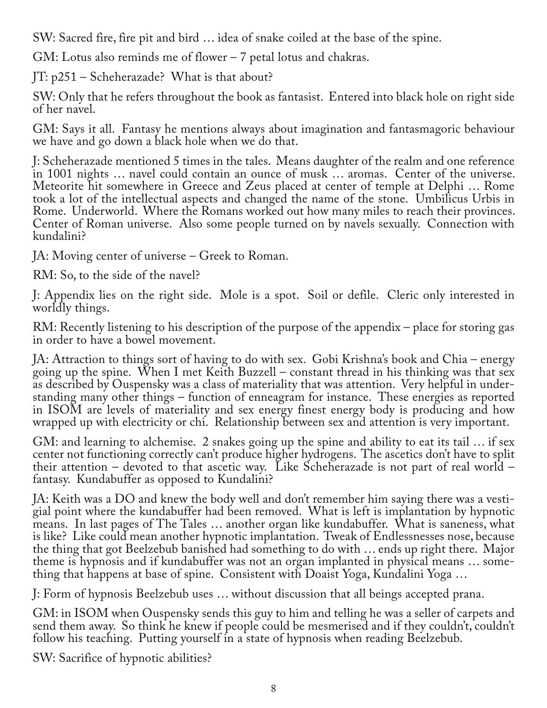SW: Sacred fire, fire pit and bird … idea of snake coiled at the base of the spine.

GM: Lotus also reminds me of flower – 7 petal lotus and chakras.

JT: p251 – Scheherazade? What is that about?

SW: Only that he refers throughout the book as fantasist. Entered into black hole on right side of her navel.

GM: Says it all. Fantasy he mentions always about imagination and fantasmagoric behaviour we have and go down a black hole when we do that.

J: Scheherazade mentioned 5 times in the tales. Means daughter of the realm and one reference in 1001 nights … navel could contain an ounce of musk … aromas. Center of the universe. Meteorite hit somewhere in Greece and Zeus placed at center of temple at Delphi … Rome took a lot of the intellectual aspects and changed the name of the stone. Umbilicus Urbis in Rome. Underworld. Where the Romans worked out how many miles to reach their provinces. Center of Roman universe. Also some people turned on by navels sexually. Connection with kundalini?

JA: Moving center of universe – Greek to Roman.

RM: So, to the side of the navel?

J: Appendix lies on the right side. Mole is a spot. Soil or defile. Cleric only interested in worldly things.

RM: Recently listening to his description of the purpose of the appendix – place for storing gas in order to have a bowel movement.

JA: Attraction to things sort of having to do with sex. Gobi Krishna's book and Chia – energy going up the spine. When I met Keith Buzzell – constant thread in his thinking was that sex as described by Ouspensky was a class of materiality that was attention. Very helpful in under‐ standing many other things – function of enneagram for instance. These energies as reported in ISOM are levels of materiality and sex energy finest energy body is producing and how wrapped up with electricity or chi. Relationship between sex and attention is very important.

GM: and learning to alchemise. 2 snakes going up the spine and ability to eat its tail … if sex center not functioning correctly can't produce higher hydrogens. The ascetics don't have to split their attention – devoted to that ascetic way. Like Scheherazade is not part of real world – fantasy. Kundabuffer as opposed to Kundalini?

JA: Keith was a DO and knew the body well and don't remember him saying there was a vestigial point where the kundabuffer had been removed. What is left is implantation by hypnotic means. In last pages of The Tales … another organ like kundabuffer. What is saneness, what is like? Like could mean another hypnotic implantation. Tweak of Endlessnesses nose, because the thing that got Beelzebub banished had something to do with ... ends up right there. Major<br>theme is hypnosis and if kundabuffer was not an organ implanted in physical means ... something that happens at base of spine. Consistent with Doaist Yoga, Kundalini Yoga …

J: Form of hypnosis Beelzebub uses … without discussion that all beings accepted prana.

GM: in ISOM when Ouspensky sends this guy to him and telling he was a seller of carpets and send them away. So think he knew if people could be mesmerised and if they couldn't, couldn't follow his teaching. Putting yourself in a state of hypnosis when reading Beelzebub.

SW: Sacrifice of hypnotic abilities?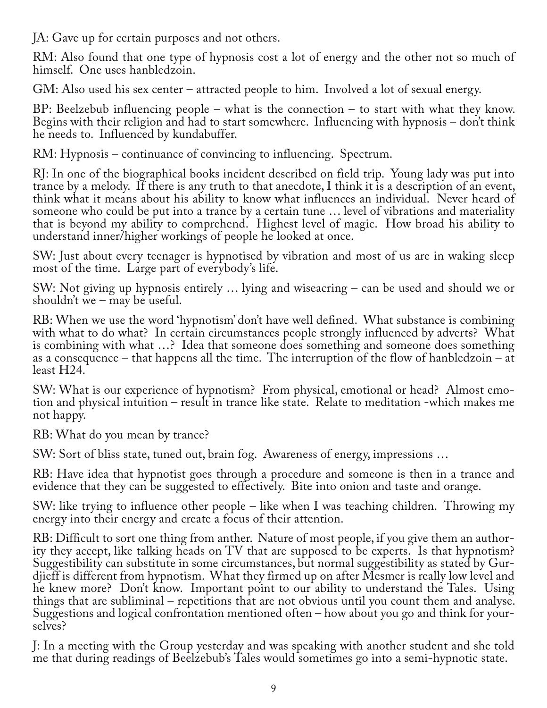JA: Gave up for certain purposes and not others.

RM: Also found that one type of hypnosis cost a lot of energy and the other not so much of himself. One uses hanbledzoin.

GM: Also used his sex center – attracted people to him. Involved a lot of sexual energy.

BP: Beelzebub influencing people – what is the connection – to start with what they know. Begins with their religion and had to start somewhere. Influencing with hypnosis – don't think he needs to. Influenced by kundabuffer.

RM: Hypnosis – continuance of convincing to influencing. Spectrum.

RJ: In one of the biographical books incident described on field trip. Young lady was put into trance by a melody. If there is any truth to that anecdote, I think it is a description of an event, think what it means about his ability to know what influences an individual. Never heard of someone who could be put into a trance by a certain tune … level of vibrations and materiality that is beyond my ability to comprehend. Highest level of magic. How broad his ability to understand inner/higher workings of people he looked at once.

SW: Just about every teenager is hypnotised by vibration and most of us are in waking sleep most of the time. Large part of everybody's life.

SW: Not giving up hypnosis entirely … lying and wiseacring – can be used and should we or shouldn't we  $-$  may be useful.

RB: When we use the word 'hypnotism' don't have well defined. What substance is combining with what to do what? In certain circumstances people strongly influenced by adverts? What is combining with what …? Idea that someone does something and someone does something as a consequence – that happens all the time. The interruption of the flow of hanbledzoin – at least H24.

SW: What is our experience of hypnotism? From physical, emotional or head? Almost emo‐ tion and physical intuition – result in trance like state. Relate to meditation -which makes me not happy.

RB: What do you mean by trance?

SW: Sort of bliss state, tuned out, brain fog. Awareness of energy, impressions …

RB: Have idea that hypnotist goes through a procedure and someone is then in a trance and evidence that they can be suggested to effectively. Bite into onion and taste and orange.

SW: like trying to influence other people – like when I was teaching children. Throwing my energy into their energy and create a focus of their attention.

RB: Difficult to sort one thing from anther. Nature of most people, if you give them an author‐ ity they accept, like talking heads on TV that are supposed to be experts. Is that hypnotism? Suggestibility can substitute in some circumstances, but normal suggestibility as stated by Gur‐ djieff is different from hypnotism. What they firmed up on after Mesmer is really low level and he knew more? Don't know. Important point to our ability to understand the Tales. Using things that are subliminal – repetitions that are not obvious until you count them and analyse. Suggestions and logical confrontation mentioned often – how about you go and think for your‐ selves?

J: In a meeting with the Group yesterday and was speaking with another student and she told me that during readings of Beelzebub's Tales would sometimes go into a semi-hypnotic state.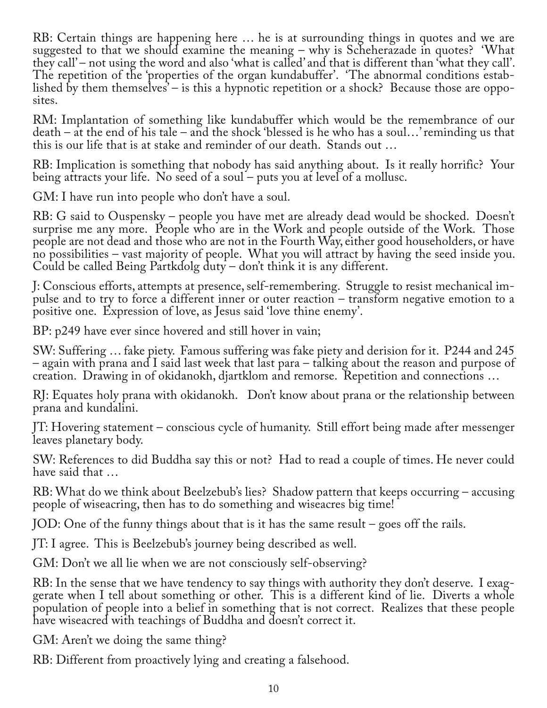RB: Certain things are happening here … he is at surrounding things in quotes and we are suggested to that we should examine the meaning – why is Scheherazade in quotes? 'What they call' – not using the word and also 'what is called' and that is different than 'what they call'. The repetition of the 'properties of the organ kundabuffer'. 'The abnormal conditions established by them themselves<sup> $\sim$ </sup> is this a hypnotic repetition or a shock? Because those are opposites.

RM: Implantation of something like kundabuffer which would be the remembrance of our death – at the end of his tale – and the shock 'blessed is he who has a soul…' reminding us that this is our life that is at stake and reminder of our death. Stands out …

RB: Implication is something that nobody has said anything about. Is it really horrific? Your being attracts your life. No seed of a soul – puts you at level of a mollusc.

GM: I have run into people who don't have a soul.

RB: G said to Ouspensky – people you have met are already dead would be shocked. Doesn't surprise me any more. People who are in the Work and people outside of the Work. Those people are not dead and those who are not in the Fourth Way, either good householders, or have no possibilities – vast majority of people. What you will attract by having the seed inside you. Could be called Being Partkdolg duty – don't think it is any different.

J: Conscious efforts, attempts at presence, self-remembering. Struggle to resist mechanical im‐ pulse and to try to force a different inner or outer reaction – transform negative emotion to a positive one. Expression of love, as Jesus said 'love thine enemy'.

BP: p249 have ever since hovered and still hover in vain;

SW: Suffering … fake piety. Famous suffering was fake piety and derision for it. P244 and 245 – again with prana and I said last week that last para – talking about the reason and purpose of creation. Drawing in of okidanokh, djartklom and remorse. Repetition and connections …

RJ: Equates holy prana with okidanokh. Don't know about prana or the relationship between prana and kundalini.

JT: Hovering statement – conscious cycle of humanity. Still effort being made after messenger leaves planetary body.

SW: References to did Buddha say this or not? Had to read a couple of times. He never could have said that …

RB: What do we think about Beelzebub's lies? Shadow pattern that keeps occurring – accusing people of wiseacring, then has to do something and wiseacres big time!

JOD: One of the funny things about that is it has the same result – goes off the rails.

JT: I agree. This is Beelzebub's journey being described as well.

GM: Don't we all lie when we are not consciously self-observing?

RB: In the sense that we have tendency to say things with authority they don't deserve. I exag-<br>gerate when I tell about something or other. This is a different kind of lie. Diverts a whole population of people into a belief in something that is not correct. Realizes that these people have wiseacred with teachings of Buddha and doesn't correct it.

GM: Aren't we doing the same thing?

RB: Different from proactively lying and creating a falsehood.